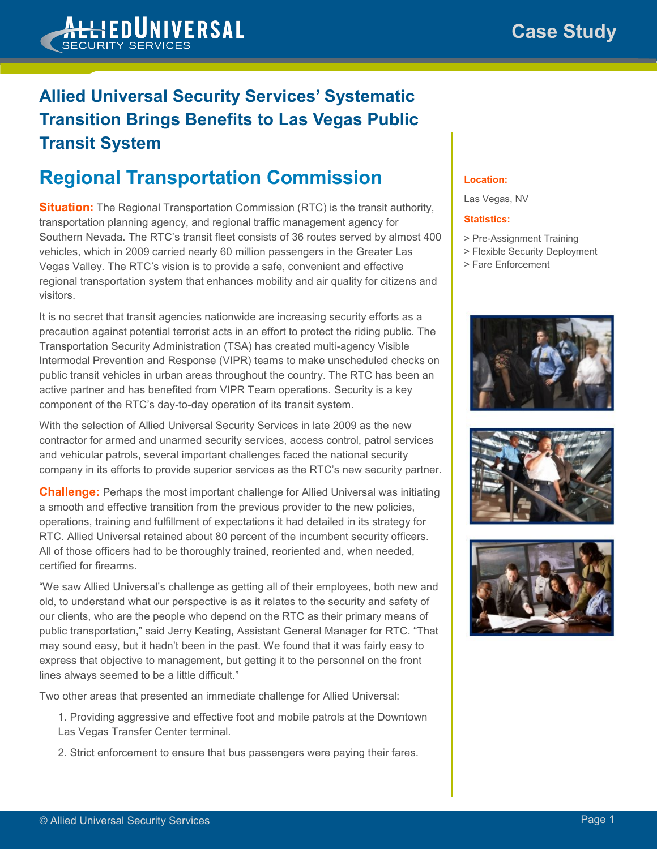

### **Allied Universal Security Services' Systematic Transition Brings Benefits to Las Vegas Public Transit System**

# **Regional Transportation Commission**

**Situation:** The Regional Transportation Commission (RTC) is the transit authority, transportation planning agency, and regional traffic management agency for Southern Nevada. The RTC's transit fleet consists of 36 routes served by almost 400 vehicles, which in 2009 carried nearly 60 million passengers in the Greater Las Vegas Valley. The RTC's vision is to provide a safe, convenient and effective regional transportation system that enhances mobility and air quality for citizens and visitors.

It is no secret that transit agencies nationwide are increasing security efforts as a precaution against potential terrorist acts in an effort to protect the riding public. The Transportation Security Administration (TSA) has created multi-agency Visible Intermodal Prevention and Response (VIPR) teams to make unscheduled checks on public transit vehicles in urban areas throughout the country. The RTC has been an active partner and has benefited from VIPR Team operations. Security is a key component of the RTC's day-to-day operation of its transit system.

With the selection of Allied Universal Security Services in late 2009 as the new contractor for armed and unarmed security services, access control, patrol services and vehicular patrols, several important challenges faced the national security company in its efforts to provide superior services as the RTC's new security partner.

**Challenge:** Perhaps the most important challenge for Allied Universal was initiating a smooth and effective transition from the previous provider to the new policies, operations, training and fulfillment of expectations it had detailed in its strategy for RTC. Allied Universal retained about 80 percent of the incumbent security officers. All of those officers had to be thoroughly trained, reoriented and, when needed, certified for firearms.

"We saw Allied Universal's challenge as getting all of their employees, both new and old, to understand what our perspective is as it relates to the security and safety of our clients, who are the people who depend on the RTC as their primary means of public transportation," said Jerry Keating, Assistant General Manager for RTC. "That may sound easy, but it hadn't been in the past. We found that it was fairly easy to express that objective to management, but getting it to the personnel on the front lines always seemed to be a little difficult."

Two other areas that presented an immediate challenge for Allied Universal:

- 1. Providing aggressive and effective foot and mobile patrols at the Downtown Las Vegas Transfer Center terminal.
- 2. Strict enforcement to ensure that bus passengers were paying their fares.

### **Location:**

Las Vegas, NV

#### **Statistics:**

- > Pre-Assignment Training
- > Flexible Security Deployment
- > Fare Enforcement





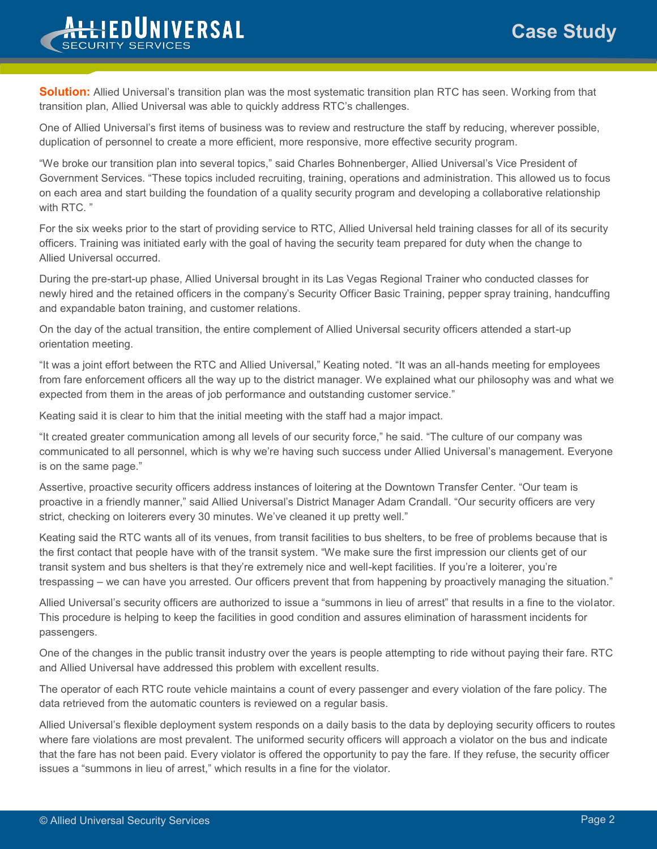## **Case Study**



**Solution:** Allied Universal's transition plan was the most systematic transition plan RTC has seen. Working from that transition plan, Allied Universal was able to quickly address RTC's challenges.

One of Allied Universal's first items of business was to review and restructure the staff by reducing, wherever possible, duplication of personnel to create a more efficient, more responsive, more effective security program.

"We broke our transition plan into several topics," said Charles Bohnenberger, Allied Universal's Vice President of Government Services. "These topics included recruiting, training, operations and administration. This allowed us to focus on each area and start building the foundation of a quality security program and developing a collaborative relationship with RTC. "

For the six weeks prior to the start of providing service to RTC, Allied Universal held training classes for all of its security officers. Training was initiated early with the goal of having the security team prepared for duty when the change to Allied Universal occurred.

During the pre-start-up phase, Allied Universal brought in its Las Vegas Regional Trainer who conducted classes for newly hired and the retained officers in the company's Security Officer Basic Training, pepper spray training, handcuffing and expandable baton training, and customer relations.

On the day of the actual transition, the entire complement of Allied Universal security officers attended a start-up orientation meeting.

"It was a joint effort between the RTC and Allied Universal," Keating noted. "It was an all-hands meeting for employees from fare enforcement officers all the way up to the district manager. We explained what our philosophy was and what we expected from them in the areas of job performance and outstanding customer service."

Keating said it is clear to him that the initial meeting with the staff had a major impact.

"It created greater communication among all levels of our security force," he said. "The culture of our company was communicated to all personnel, which is why we're having such success under Allied Universal's management. Everyone is on the same page."

Assertive, proactive security officers address instances of loitering at the Downtown Transfer Center. "Our team is proactive in a friendly manner," said Allied Universal's District Manager Adam Crandall. "Our security officers are very strict, checking on loiterers every 30 minutes. We've cleaned it up pretty well."

Keating said the RTC wants all of its venues, from transit facilities to bus shelters, to be free of problems because that is the first contact that people have with of the transit system. "We make sure the first impression our clients get of our transit system and bus shelters is that they're extremely nice and well-kept facilities. If you're a loiterer, you're trespassing – we can have you arrested. Our officers prevent that from happening by proactively managing the situation."

Allied Universal's security officers are authorized to issue a "summons in lieu of arrest" that results in a fine to the violator. This procedure is helping to keep the facilities in good condition and assures elimination of harassment incidents for passengers.

One of the changes in the public transit industry over the years is people attempting to ride without paying their fare. RTC and Allied Universal have addressed this problem with excellent results.

The operator of each RTC route vehicle maintains a count of every passenger and every violation of the fare policy. The data retrieved from the automatic counters is reviewed on a regular basis.

Allied Universal's flexible deployment system responds on a daily basis to the data by deploying security officers to routes where fare violations are most prevalent. The uniformed security officers will approach a violator on the bus and indicate that the fare has not been paid. Every violator is offered the opportunity to pay the fare. If they refuse, the security officer issues a "summons in lieu of arrest," which results in a fine for the violator.